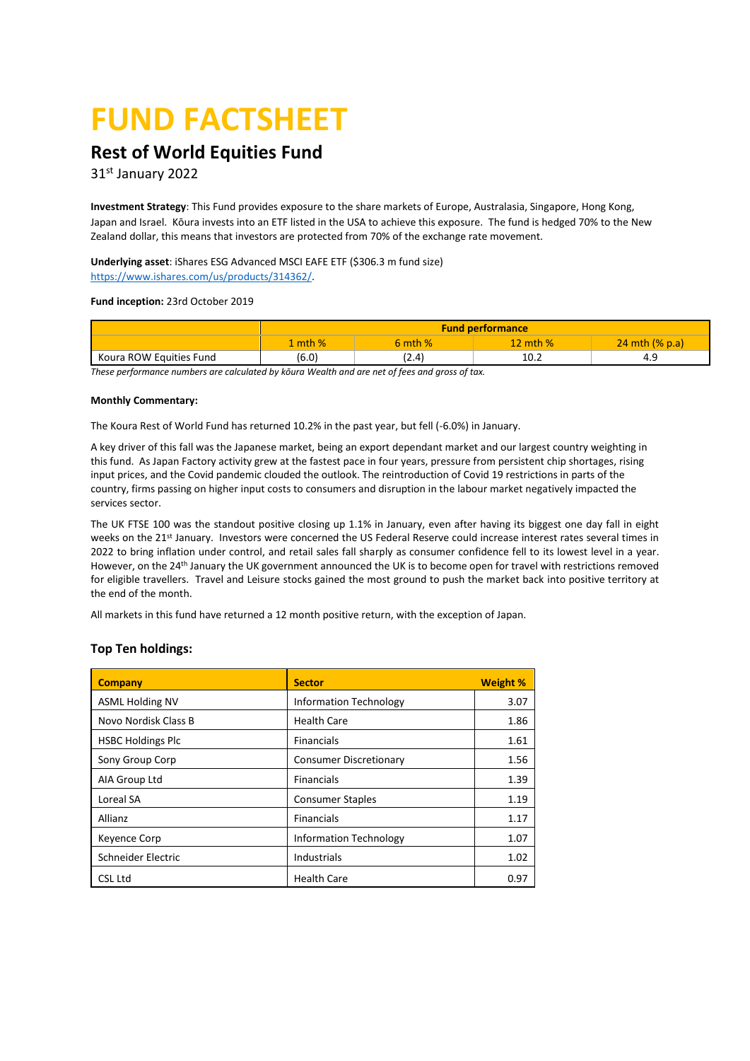# **FUND FACTSHEET**

# **Rest of World Equities Fund**

31 st January 2022

**Investment Strategy**: This Fund provides exposure to the share markets of Europe, Australasia, Singapore, Hong Kong, Japan and Israel. Kōura invests into an ETF listed in the USA to achieve this exposure. The fund is hedged 70% to the New Zealand dollar, this means that investors are protected from 70% of the exchange rate movement.

**Underlying asset**: iShares ESG Advanced MSCI EAFE ETF (\$306.3 m fund size) [https://www.ishares.com/us/products/314362/.](https://www.ishares.com/us/products/314362/) 

#### **Fund inception:** 23rd October 2019

|                         | <b>Fund performance</b> |             |            |                   |  |  |
|-------------------------|-------------------------|-------------|------------|-------------------|--|--|
|                         | mth%                    | $5$ mth $%$ | 12 mth $%$ | 24 mth $(\%$ p.a) |  |  |
| Koura ROW Equities Fund | (6.0)                   | (2.4)       | 10.2       | 4 U               |  |  |

*These performance numbers are calculated by kōura Wealth and are net of fees and gross of tax.* 

#### **Monthly Commentary:**

The Koura Rest of World Fund has returned 10.2% in the past year, but fell (-6.0%) in January.

A key driver of this fall was the Japanese market, being an export dependant market and our largest country weighting in this fund. As Japan Factory activity grew at the fastest pace in four years, pressure from persistent chip shortages, rising input prices, and the Covid pandemic clouded the outlook. The reintroduction of Covid 19 restrictions in parts of the country, firms passing on higher input costs to consumers and disruption in the labour market negatively impacted the services sector.

The UK FTSE 100 was the standout positive closing up 1.1% in January, even after having its biggest one day fall in eight weeks on the 21st January. Investors were concerned the US Federal Reserve could increase interest rates several times in 2022 to bring inflation under control, and retail sales fall sharply as consumer confidence fell to its lowest level in a year. However, on the 24th January the UK government announced the UK is to become open for travel with restrictions removed for eligible travellers. Travel and Leisure stocks gained the most ground to push the market back into positive territory at the end of the month.

All markets in this fund have returned a 12 month positive return, with the exception of Japan.

## **Top Ten holdings:**

| <b>Company</b>           | <b>Sector</b>                 | <b>Weight %</b> |
|--------------------------|-------------------------------|-----------------|
| <b>ASML Holding NV</b>   | <b>Information Technology</b> | 3.07            |
| Novo Nordisk Class B     | <b>Health Care</b>            | 1.86            |
| <b>HSBC Holdings Plc</b> | <b>Financials</b>             | 1.61            |
| Sony Group Corp          | <b>Consumer Discretionary</b> | 1.56            |
| AIA Group Ltd            | <b>Financials</b>             | 1.39            |
| Loreal SA                | <b>Consumer Staples</b>       | 1.19            |
| Allianz                  | Financials                    | 1.17            |
| <b>Keyence Corp</b>      | <b>Information Technology</b> | 1.07            |
| Schneider Electric       | <b>Industrials</b>            | 1.02            |
| CSL Ltd                  | <b>Health Care</b>            | 0.97            |